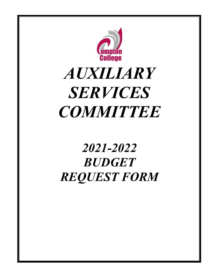

# *AUXILIARY SERVICES COMMITTEE*

# *2021-2022 BUDGET REQUEST FORM*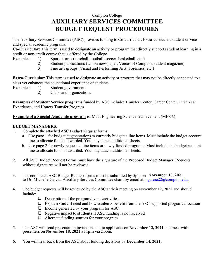# Compton College **AUXILIARY SERVICES COMMITTEE BUDGET REQUEST PROCEDURES**

The Auxiliary Services Committee (ASC) provides funding to Co-curricular, Extra-curricular, student service and special academic programs.

**Co-Curricular**: This term is used to designate an activity or program that directly supports student learning in a credit or non-credit course that is offered by the College.

- Examples: 1) Sports teams (baseball, football, soccer, basketball, etc.)
	- 2) Student publications (Union newspaper, Voices of Compton, student magazine)
	- 3) Fine arts groups (Visual and Performing Arts, Forensics, etc.)

**Extra-Curricular**: This term is used to designate an activity or program that may not be directly connected to a class yet enhances the educational experience of students.

- Examples: 1) Student government
	- 2) Clubs and organizations

**Examples of Student Service programs** funded by ASC include: Transfer Center, Career Center, First Year Experience, and Honors Transfer Program.

**Example of a Special Academic program** is: Math Engineering Science Achievement (MESA)

#### **BUDGET MANAGERS:**

- 1. Complete the attached ASC Budget Request forms:
	- a. Use page 1 for budget augmentations to currently budgeted line items. Must include the budget account line to allocate funds if awarded. You may attach additional sheets.
	- b. Use page 2 for newly requested line items or newly funded programs. Must include the budget account line to allocate funds if awarded. You may attach additional sheets.
- 2. All ASC Budget Request Forms must have the signature of the Proposed Budget Manager. Requests without signatures will not be reviewed.
- 3. The completed ASC Budget Request forms must be submitted by 5pm on21**November 10, 2021** to Dr. Michelle Garcia, Auxiliary Services Committee chair, by email at mgarcia  $22@$ compton.edu.
- 4. The budget requests will be reviewed by the ASC at their meeting on November 12, 2021 and should include:
	- $\Box$  Description of the program/events/activities
	- q Explain **student** need and how **students** benefit from the ASC supported program/allocation
	- $\Box$  Income generated by your program for ASC
	- **Q** Negative impact to **students** if ASC funding is not received
	- $\Box$  Alternate funding sources for your program
- 5. The ASC will send presentation invitations out to applicants on **November 12, 2021** and meet with presenters on **November 18, 2021 at 1pm** via Zoom.
- 6. You will hear back from the ASC about funding decisions by **December 14, 2021.**A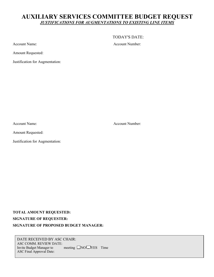### **AUXILIARY SERVICES COMMITTEE BUDGET REQUEST** *JUSTIFICATIONS FOR AUGMENTATIONS TO EXISTING LINE ITEMS*

Account Name: Account Number:

Amount Requested:

Justification for Augmentation:

Account Name: Account Number:

TODAY'S DATE:

Amount Requested:

Justification for Augmentation:

**TOTAL AMOUNT REQUESTED: \_\_\_\_\_\_\_\_\_\_\_\_\_\_\_\_\_\_\_\_\_\_\_\_\_\_\_\_\_\_\_\_\_\_\_\_\_\_\_\_\_\_\_\_\_ SIGNATURE OF REQUESTER: SIGNATURE OF PROPOSED BUDGET MANAGER:** 

DATE RECEIVED BY ASC CHAIR: ASC COMM. REVIEW DATE: Invite Budget Manager to  $\Box$  meeting  $\Box$  NO  $\Box$  YES Time ASC Final Approval Date: